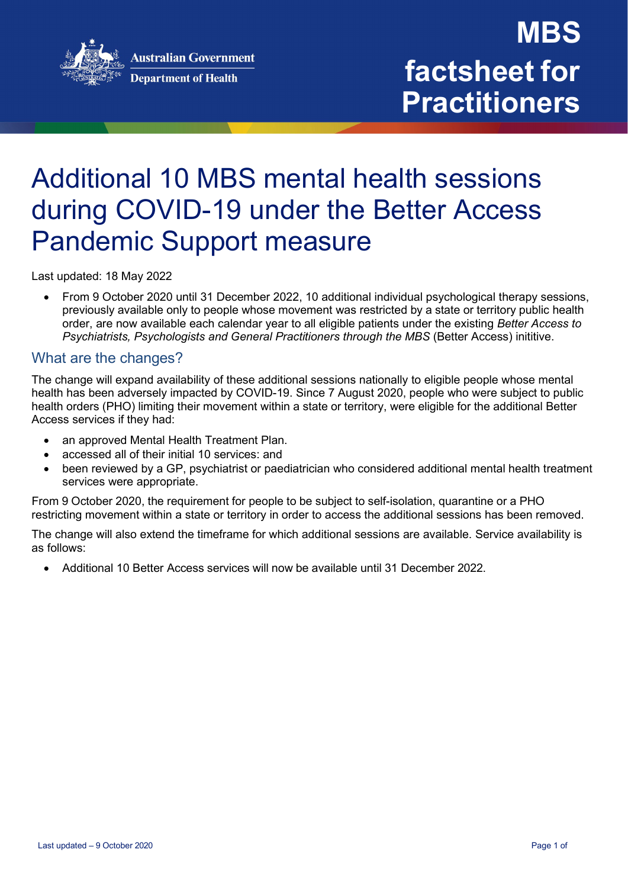



### Additional 10 MBS mental health sessions during COVID-19 under the Better Access Pandemic Support measure

Last updated: 18 May 2022

• From 9 October 2020 until 31 December 2022, 10 additional individual psychological therapy sessions, previously available only to people whose movement was restricted by a state or territory public health order, are now available each calendar year to all eligible patients under the existing *Better Access to Psychiatrists, Psychologists and General Practitioners through the MBS* (Better Access) inititive.

### What are the changes?

The change will expand availability of these additional sessions nationally to eligible people whose mental health has been adversely impacted by COVID-19. Since 7 August 2020, people who were subject to public health orders (PHO) limiting their movement within a state or territory, were eligible for the additional Better Access services if they had:

- an approved Mental Health Treatment Plan.
- accessed all of their initial 10 services: and
- been reviewed by a GP, psychiatrist or paediatrician who considered additional mental health treatment services were appropriate.

From 9 October 2020, the requirement for people to be subject to self-isolation, quarantine or a PHO restricting movement within a state or territory in order to access the additional sessions has been removed.

The change will also extend the timeframe for which additional sessions are available. Service availability is as follows:

• Additional 10 Better Access services will now be available until 31 December 2022.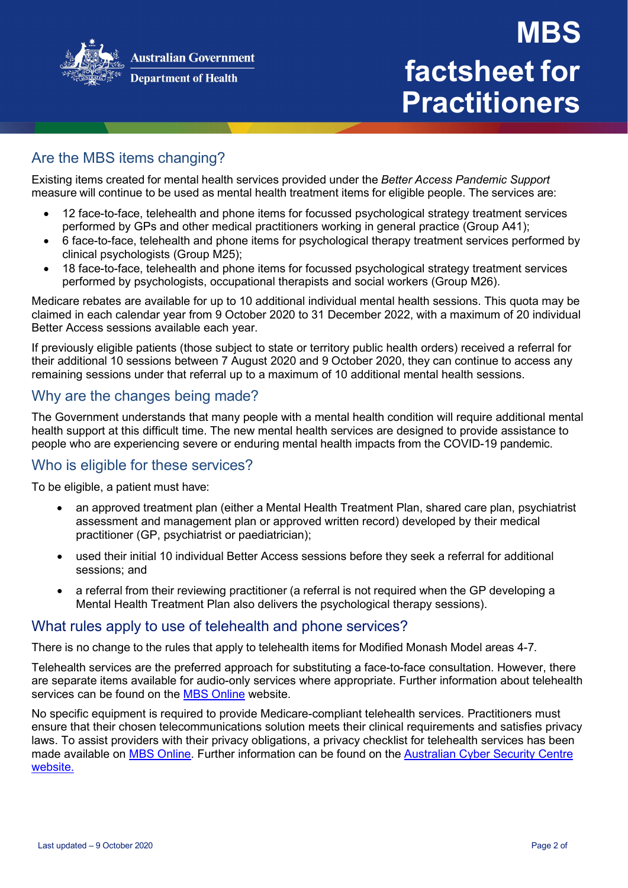

#### **Department of Health**

# **MBS factsheet for Practitioners**

### Are the MBS items changing?

Existing items created for mental health services provided under the *Better Access Pandemic Support*  measure will continue to be used as mental health treatment items for eligible people. The services are:

- 12 face-to-face, telehealth and phone items for focussed psychological strategy treatment services performed by GPs and other medical practitioners working in general practice (Group A41);
- 6 face-to-face, telehealth and phone items for psychological therapy treatment services performed by clinical psychologists (Group M25);
- 18 face-to-face, telehealth and phone items for focussed psychological strategy treatment services performed by psychologists, occupational therapists and social workers (Group M26).

Medicare rebates are available for up to 10 additional individual mental health sessions. This quota may be claimed in each calendar year from 9 October 2020 to 31 December 2022, with a maximum of 20 individual Better Access sessions available each year.

If previously eligible patients (those subject to state or territory public health orders) received a referral for their additional 10 sessions between 7 August 2020 and 9 October 2020, they can continue to access any remaining sessions under that referral up to a maximum of 10 additional mental health sessions.

### Why are the changes being made?

The Government understands that many people with a mental health condition will require additional mental health support at this difficult time. The new mental health services are designed to provide assistance to people who are experiencing severe or enduring mental health impacts from the COVID-19 pandemic.

### Who is eligible for these services?

To be eligible, a patient must have:

- an approved treatment plan (either a Mental Health Treatment Plan, shared care plan, psychiatrist assessment and management plan or approved written record) developed by their medical practitioner (GP, psychiatrist or paediatrician);
- used their initial 10 individual Better Access sessions before they seek a referral for additional sessions; and
- a referral from their reviewing practitioner (a referral is not required when the GP developing a Mental Health Treatment Plan also delivers the psychological therapy sessions).

### What rules apply to use of telehealth and phone services?

There is no change to the rules that apply to telehealth items for Modified Monash Model areas 4-7.

Telehealth services are the preferred approach for substituting a face-to-face consultation. However, there are separate items available for audio-only services where appropriate. Further information about telehealth services can be found on the [MBS Online](http://www.mbsonline.gov.au/internet/mbsonline/publishing.nsf/Content/Factsheet-Telehealth-Arrangements-Jan22) website.

No specific equipment is required to provide Medicare-compliant telehealth services. Practitioners must ensure that their chosen telecommunications solution meets their clinical requirements and satisfies privacy laws. To assist providers with their privacy obligations, a privacy checklist for telehealth services has been made available on [MBS Online.](http://www.mbsonline.gov.au/internet/mbsonline/publishing.nsf/Content/Factsheet-TelehealthPrivChecklist) Further information can be found on the [Australian Cyber Security Centre](https://www.cyber.gov.au/publications/web-conferencing-security) [website.](https://www.cyber.gov.au/publications/web-conferencing-security)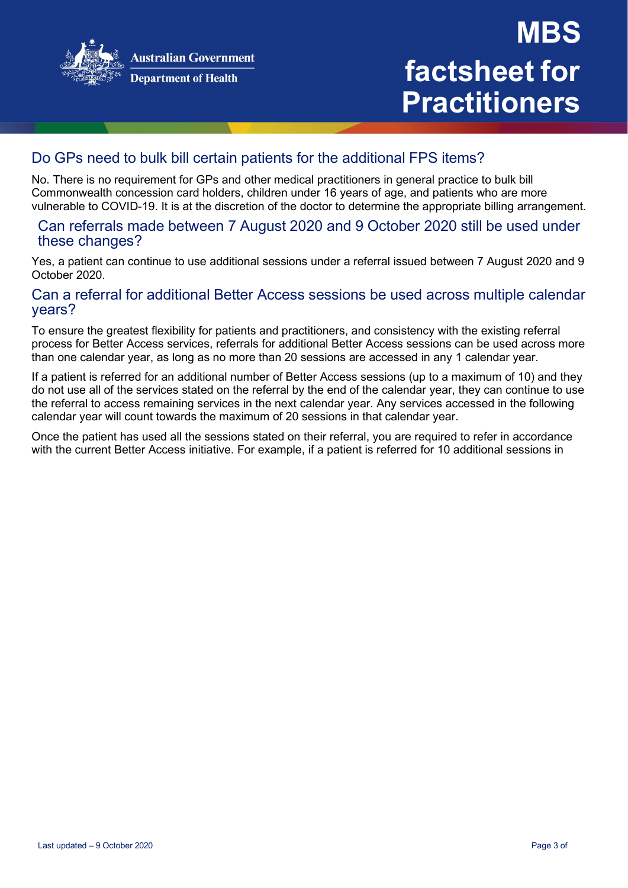

# **MBS factsheet for Practitioners**

### Do GPs need to bulk bill certain patients for the additional FPS items?

No. There is no requirement for GPs and other medical practitioners in general practice to bulk bill Commonwealth concession card holders, children under 16 years of age, and patients who are more vulnerable to COVID-19. It is at the discretion of the doctor to determine the appropriate billing arrangement.

### Can referrals made between 7 August 2020 and 9 October 2020 still be used under these changes?

Yes, a patient can continue to use additional sessions under a referral issued between 7 August 2020 and 9 October 2020.

### Can a referral for additional Better Access sessions be used across multiple calendar years?

To ensure the greatest flexibility for patients and practitioners, and consistency with the existing referral process for Better Access services, referrals for additional Better Access sessions can be used across more than one calendar year, as long as no more than 20 sessions are accessed in any 1 calendar year.

If a patient is referred for an additional number of Better Access sessions (up to a maximum of 10) and they do not use all of the services stated on the referral by the end of the calendar year, they can continue to use the referral to access remaining services in the next calendar year. Any services accessed in the following calendar year will count towards the maximum of 20 sessions in that calendar year.

Once the patient has used all the sessions stated on their referral, you are required to refer in accordance with the current Better Access initiative. For example, if a patient is referred for 10 additional sessions in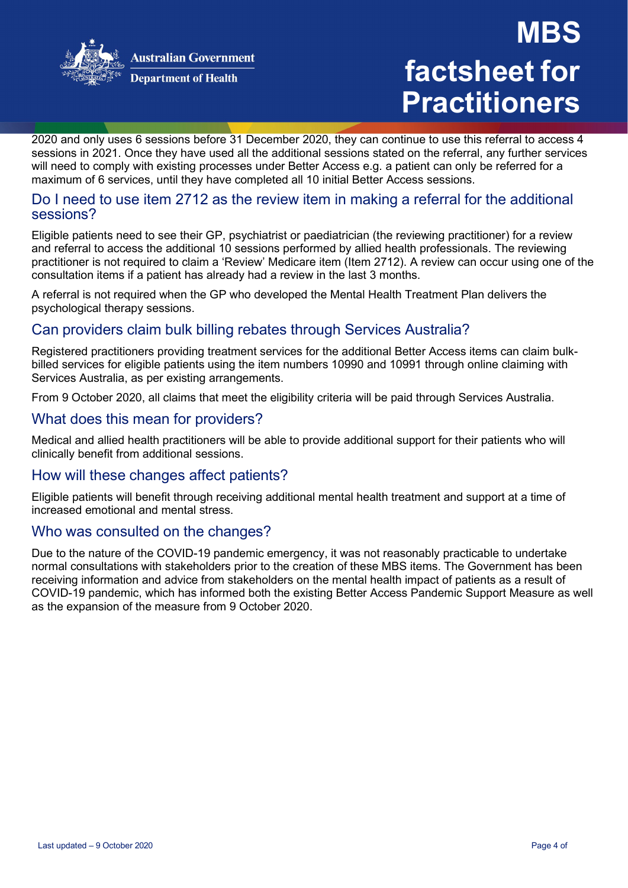

**Department of Health** 

# **MBS factsheet for Practitioners**

2020 and only uses 6 sessions before 31 December 2020, they can continue to use this referral to access 4 sessions in 2021. Once they have used all the additional sessions stated on the referral, any further services will need to comply with existing processes under Better Access e.g. a patient can only be referred for a maximum of 6 services, until they have completed all 10 initial Better Access sessions.

#### Do I need to use item 2712 as the review item in making a referral for the additional sessions?

Eligible patients need to see their GP, psychiatrist or paediatrician (the reviewing practitioner) for a review and referral to access the additional 10 sessions performed by allied health professionals. The reviewing practitioner is not required to claim a 'Review' Medicare item (Item 2712). A review can occur using one of the consultation items if a patient has already had a review in the last 3 months.

A referral is not required when the GP who developed the Mental Health Treatment Plan delivers the psychological therapy sessions.

### Can providers claim bulk billing rebates through Services Australia?

Registered practitioners providing treatment services for the additional Better Access items can claim bulkbilled services for eligible patients using the item numbers 10990 and 10991 through online claiming with Services Australia, as per existing arrangements.

From 9 October 2020, all claims that meet the eligibility criteria will be paid through Services Australia.

### What does this mean for providers?

Medical and allied health practitioners will be able to provide additional support for their patients who will clinically benefit from additional sessions.

### How will these changes affect patients?

Eligible patients will benefit through receiving additional mental health treatment and support at a time of increased emotional and mental stress.

### Who was consulted on the changes?

Due to the nature of the COVID-19 pandemic emergency, it was not reasonably practicable to undertake normal consultations with stakeholders prior to the creation of these MBS items. The Government has been receiving information and advice from stakeholders on the mental health impact of patients as a result of COVID-19 pandemic, which has informed both the existing Better Access Pandemic Support Measure as well as the expansion of the measure from 9 October 2020.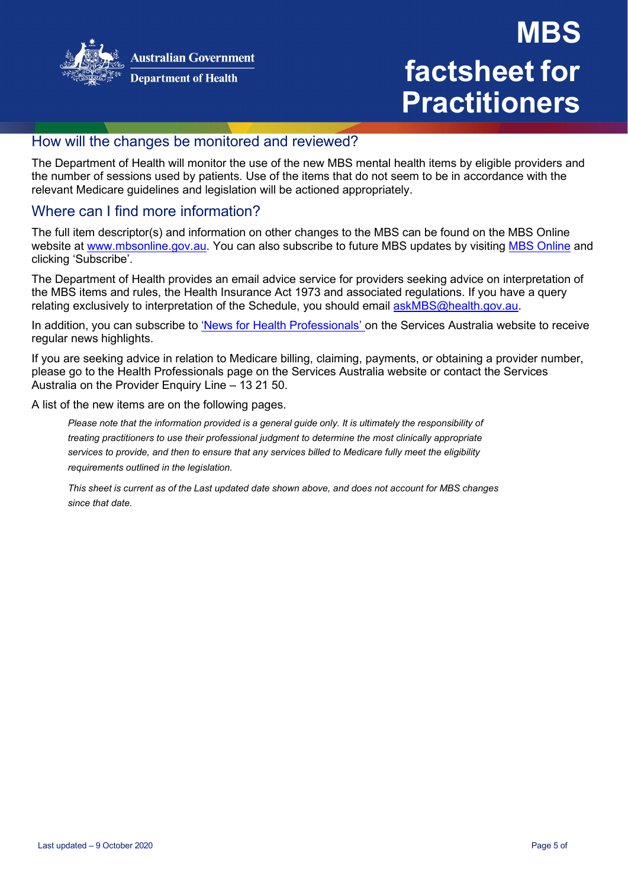

#### **Department of Health**

### **MBS factsheet for Practitioners**

### How will the changes be monitored and reviewed?

The Department of Health will monitor the use of the new MBS mental health items by eligible providers and the number of sessions used by patients. Use of the items that do not seem to be in accordance with the relevant Medicare guidelines and legislation will be actioned appropriately.

### Where can I find more information?

The full item descriptor(s) and information on other changes to the MBS can be found on the MBS Online website at [www.mbsonline.gov.au.](http://www.mbsonline.gov.au/) You can also subscribe to future MBS updates by visiting [MBS Online](http://www.mbsonline.gov.au/) and clicking 'Subscribe'.

The Department of Health provides an email advice service for providers seeking advice on interpretation of the MBS items and rules, the Health Insurance Act 1973 and associated regulations. If you have a query relating exclusively to interpretation of the Schedule, you should email [askMBS@health.gov.au.](mailto:askMBS@health.gov.au)

In addition, you can subscribe to ['News for Health Professionals' o](https://www.servicesaustralia.gov.au/organisations/health-professionals/news/all)n the Services Australia website to receive regular news highlights.

If you are seeking advice in relation to Medicare billing, claiming, payments, or obtaining a provider number, please go to the Health Professionals page on the Services Australia website or contact the Services Australia on the Provider Enquiry Line – 13 21 50.

A list of the new items are on the following pages.

*Please note that the information provided is a general guide only. It is ultimately the responsibility of treating practitioners to use their professional judgment to determine the most clinically appropriate services to provide, and then to ensure that any services billed to Medicare fully meet the eligibility requirements outlined in the legislation.*

This sheet is current as of the Last updated date shown above, and does not account for MBS changes *since that date.*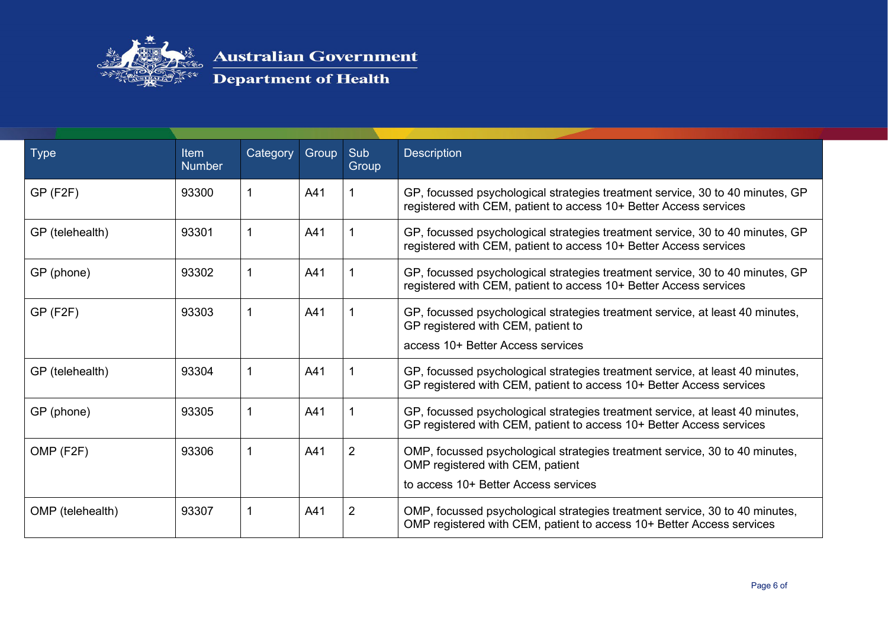

| <b>Type</b>      | Item<br><b>Number</b> | Category | Group | Sub<br>Group | <b>Description</b>                                                                                                                                       |
|------------------|-----------------------|----------|-------|--------------|----------------------------------------------------------------------------------------------------------------------------------------------------------|
| $GP$ (F2F)       | 93300                 |          | A41   |              | GP, focussed psychological strategies treatment service, 30 to 40 minutes, GP<br>registered with CEM, patient to access 10+ Better Access services       |
| GP (telehealth)  | 93301                 |          | A41   |              | GP, focussed psychological strategies treatment service, 30 to 40 minutes, GP<br>registered with CEM, patient to access 10+ Better Access services       |
| GP (phone)       | 93302                 |          | A41   |              | GP, focussed psychological strategies treatment service, 30 to 40 minutes, GP<br>registered with CEM, patient to access 10+ Better Access services       |
| $GP$ (F2F)       | 93303                 |          | A41   |              | GP, focussed psychological strategies treatment service, at least 40 minutes,<br>GP registered with CEM, patient to<br>access 10+ Better Access services |
| GP (telehealth)  | 93304                 |          | A41   |              | GP, focussed psychological strategies treatment service, at least 40 minutes,<br>GP registered with CEM, patient to access 10+ Better Access services    |
| GP (phone)       | 93305                 |          | A41   |              | GP, focussed psychological strategies treatment service, at least 40 minutes,<br>GP registered with CEM, patient to access 10+ Better Access services    |
| OMP (F2F)        | 93306                 |          | A41   | 2            | OMP, focussed psychological strategies treatment service, 30 to 40 minutes,<br>OMP registered with CEM, patient<br>to access 10+ Better Access services  |
| OMP (telehealth) | 93307                 |          | A41   | 2            | OMP, focussed psychological strategies treatment service, 30 to 40 minutes,<br>OMP registered with CEM, patient to access 10+ Better Access services     |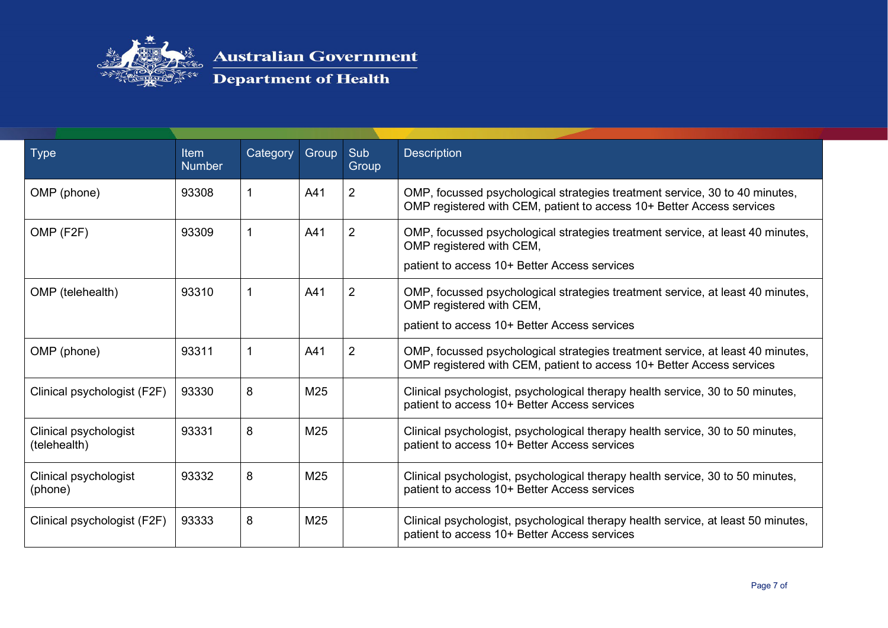

| <b>Type</b>                           | Item<br><b>Number</b> | Category | Group | Sub<br>Group   | <b>Description</b>                                                                                                                                         |
|---------------------------------------|-----------------------|----------|-------|----------------|------------------------------------------------------------------------------------------------------------------------------------------------------------|
| OMP (phone)                           | 93308                 |          | A41   | $\overline{2}$ | OMP, focussed psychological strategies treatment service, 30 to 40 minutes,<br>OMP registered with CEM, patient to access 10+ Better Access services       |
| OMP (F2F)                             | 93309                 |          | A41   | 2              | OMP, focussed psychological strategies treatment service, at least 40 minutes,<br>OMP registered with CEM,<br>patient to access 10+ Better Access services |
| OMP (telehealth)                      | 93310                 |          | A41   | 2              | OMP, focussed psychological strategies treatment service, at least 40 minutes,<br>OMP registered with CEM,<br>patient to access 10+ Better Access services |
| OMP (phone)                           | 93311                 |          | A41   | 2              | OMP, focussed psychological strategies treatment service, at least 40 minutes,<br>OMP registered with CEM, patient to access 10+ Better Access services    |
| Clinical psychologist (F2F)           | 93330                 | 8        | M25   |                | Clinical psychologist, psychological therapy health service, 30 to 50 minutes,<br>patient to access 10+ Better Access services                             |
| Clinical psychologist<br>(telehealth) | 93331                 | 8        | M25   |                | Clinical psychologist, psychological therapy health service, 30 to 50 minutes,<br>patient to access 10+ Better Access services                             |
| Clinical psychologist<br>(phone)      | 93332                 | 8        | M25   |                | Clinical psychologist, psychological therapy health service, 30 to 50 minutes,<br>patient to access 10+ Better Access services                             |
| Clinical psychologist (F2F)           | 93333                 | 8        | M25   |                | Clinical psychologist, psychological therapy health service, at least 50 minutes,<br>patient to access 10+ Better Access services                          |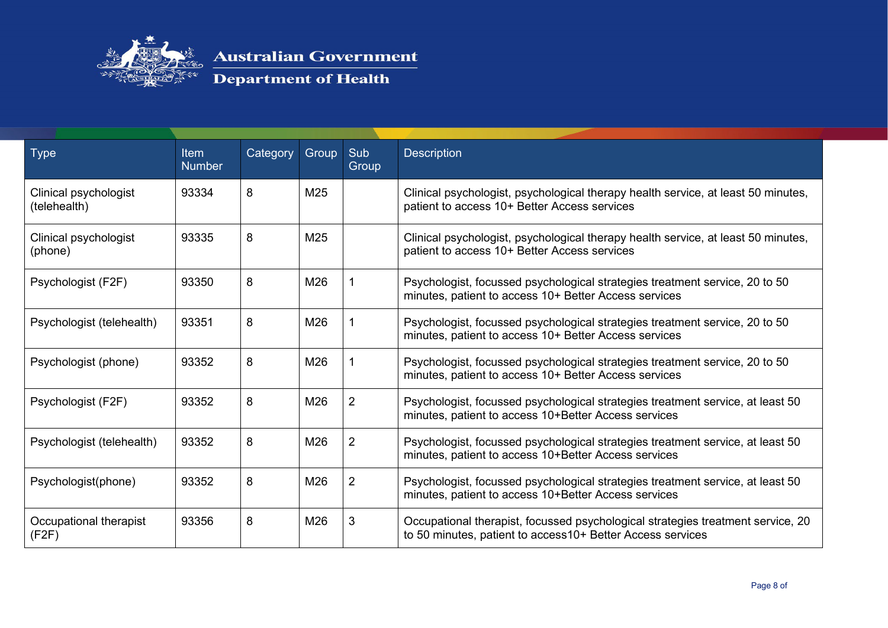

| <b>Type</b>                           | <b>Item</b><br><b>Number</b> | Category | Group | Sub<br>Group   | <b>Description</b>                                                                                                                             |
|---------------------------------------|------------------------------|----------|-------|----------------|------------------------------------------------------------------------------------------------------------------------------------------------|
| Clinical psychologist<br>(telehealth) | 93334                        | 8        | M25   |                | Clinical psychologist, psychological therapy health service, at least 50 minutes,<br>patient to access 10+ Better Access services              |
| Clinical psychologist<br>(phone)      | 93335                        | 8        | M25   |                | Clinical psychologist, psychological therapy health service, at least 50 minutes,<br>patient to access 10+ Better Access services              |
| Psychologist (F2F)                    | 93350                        | 8        | M26   |                | Psychologist, focussed psychological strategies treatment service, 20 to 50<br>minutes, patient to access 10+ Better Access services           |
| Psychologist (telehealth)             | 93351                        | 8        | M26   |                | Psychologist, focussed psychological strategies treatment service, 20 to 50<br>minutes, patient to access 10+ Better Access services           |
| Psychologist (phone)                  | 93352                        | 8        | M26   |                | Psychologist, focussed psychological strategies treatment service, 20 to 50<br>minutes, patient to access 10+ Better Access services           |
| Psychologist (F2F)                    | 93352                        | 8        | M26   | 2              | Psychologist, focussed psychological strategies treatment service, at least 50<br>minutes, patient to access 10+Better Access services         |
| Psychologist (telehealth)             | 93352                        | 8        | M26   | $\overline{2}$ | Psychologist, focussed psychological strategies treatment service, at least 50<br>minutes, patient to access 10+Better Access services         |
| Psychologist(phone)                   | 93352                        | 8        | M26   | 2              | Psychologist, focussed psychological strategies treatment service, at least 50<br>minutes, patient to access 10+Better Access services         |
| Occupational therapist<br>(F2F)       | 93356                        | 8        | M26   | 3              | Occupational therapist, focussed psychological strategies treatment service, 20<br>to 50 minutes, patient to access 10+ Better Access services |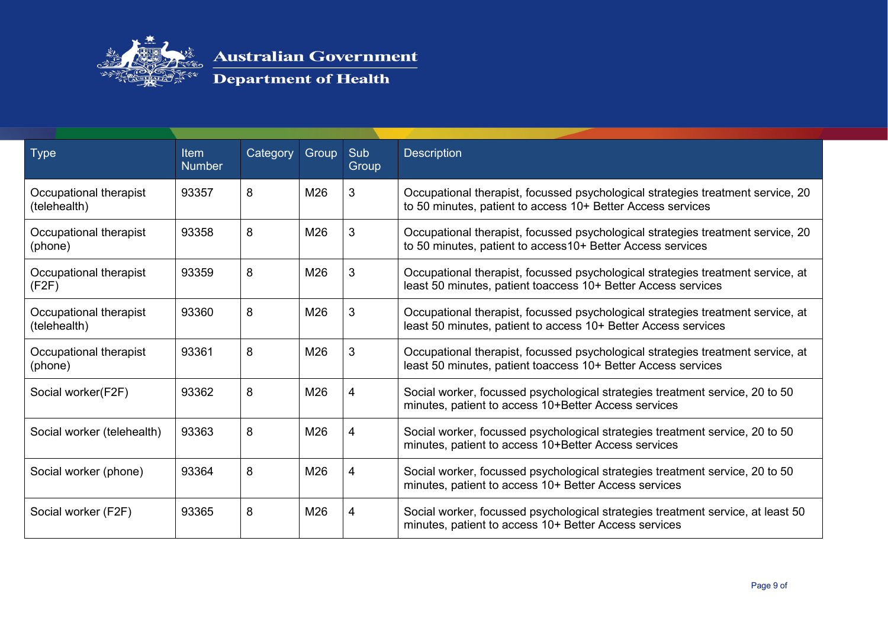

| Type                                   | <b>Item</b><br><b>Number</b> | Category | Group | Sub<br>Group | <b>Description</b>                                                                                                                                |
|----------------------------------------|------------------------------|----------|-------|--------------|---------------------------------------------------------------------------------------------------------------------------------------------------|
| Occupational therapist<br>(telehealth) | 93357                        | 8        | M26   | 3            | Occupational therapist, focussed psychological strategies treatment service, 20<br>to 50 minutes, patient to access 10+ Better Access services    |
| Occupational therapist<br>(phone)      | 93358                        | 8        | M26   | 3            | Occupational therapist, focussed psychological strategies treatment service, 20<br>to 50 minutes, patient to access 10+ Better Access services    |
| Occupational therapist<br>(F2F)        | 93359                        | 8        | M26   | 3            | Occupational therapist, focussed psychological strategies treatment service, at<br>least 50 minutes, patient toaccess 10+ Better Access services  |
| Occupational therapist<br>(telehealth) | 93360                        | 8        | M26   | 3            | Occupational therapist, focussed psychological strategies treatment service, at<br>least 50 minutes, patient to access 10+ Better Access services |
| Occupational therapist<br>(phone)      | 93361                        | 8        | M26   | 3            | Occupational therapist, focussed psychological strategies treatment service, at<br>least 50 minutes, patient toaccess 10+ Better Access services  |
| Social worker(F2F)                     | 93362                        | 8        | M26   | 4            | Social worker, focussed psychological strategies treatment service, 20 to 50<br>minutes, patient to access 10+Better Access services              |
| Social worker (telehealth)             | 93363                        | 8        | M26   | 4            | Social worker, focussed psychological strategies treatment service, 20 to 50<br>minutes, patient to access 10+Better Access services              |
| Social worker (phone)                  | 93364                        | 8        | M26   | 4            | Social worker, focussed psychological strategies treatment service, 20 to 50<br>minutes, patient to access 10+ Better Access services             |
| Social worker (F2F)                    | 93365                        | 8        | M26   | 4            | Social worker, focussed psychological strategies treatment service, at least 50<br>minutes, patient to access 10+ Better Access services          |